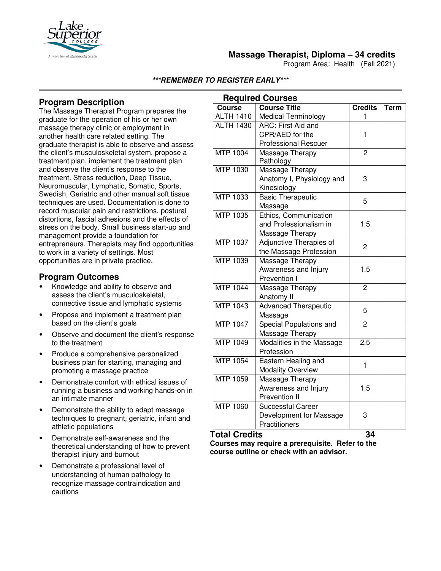

## **Massage Therapist, Diploma – 34 credits**

Program Area: Health (Fall 2021)

**\*\*\*REMEMBER TO REGISTER EARLY\*\*\***

# **Program Description**

The Massage Therapist Program prepares the graduate for the operation of his or her own massage therapy clinic or employment in another health care related setting. The graduate therapist is able to observe and assess the client's musculoskeletal system, propose a treatment plan, implement the treatment plan and observe the client's response to the treatment. Stress reduction, Deep Tissue, Neuromuscular, Lymphatic, Somatic, Sports, Swedish, Geriatric and other manual soft tissue techniques are used. Documentation is done to record muscular pain and restrictions, postural distortions, fascial adhesions and the effects of stress on the body. Small business start-up and management provide a foundation for entrepreneurs. Therapists may find opportunities to work in a variety of settings. Most opportunities are in private practice.

### **Program Outcomes**

- Knowledge and ability to observe and assess the client's musculoskeletal, connective tissue and lymphatic systems
- Propose and implement a treatment plan based on the client's goals
- Observe and document the client's response to the treatment
- Produce a comprehensive personalized business plan for starting, managing and promoting a massage practice
- Demonstrate comfort with ethical issues of running a business and working hands-on in an intimate manner
- Demonstrate the ability to adapt massage techniques to pregnant, geriatric, infant and athletic populations
- Demonstrate self-awareness and the theoretical understanding of how to prevent therapist injury and burnout
- Demonstrate a professional level of understanding of human pathology to recognize massage contraindication and cautions

| <b>Required Courses</b> |                             |                |             |
|-------------------------|-----------------------------|----------------|-------------|
| Course                  | <b>Course Title</b>         | <b>Credits</b> | <b>Term</b> |
| <b>ALTH 1410</b>        | Medical Terminology         | 1              |             |
| <b>ALTH 1430</b>        | ARC: First Aid and          |                |             |
|                         | CPR/AED for the             | 1              |             |
|                         | <b>Professional Rescuer</b> |                |             |
| MTP 1004                | Massage Therapy             | $\overline{c}$ |             |
|                         | Pathology                   |                |             |
| <b>MTP 1030</b>         | Massage Therapy             |                |             |
|                         | Anatomy I, Physiology and   | 3              |             |
|                         | Kinesiology                 |                |             |
| <b>MTP 1033</b>         | <b>Basic Therapeutic</b>    | 5              |             |
|                         | Massage                     |                |             |
| <b>MTP 1035</b>         | Ethics, Communication       |                |             |
|                         | and Professionalism in      | 1.5            |             |
|                         | Massage Therapy             |                |             |
| <b>MTP 1037</b>         | Adjunctive Therapies of     | 2              |             |
|                         | the Massage Profession      |                |             |
| MTP 1039                | Massage Therapy             |                |             |
|                         | Awareness and Injury        | 1.5            |             |
|                         | Prevention I                |                |             |
| <b>MTP 1044</b>         | Massage Therapy             | $\overline{2}$ |             |
|                         | Anatomy II                  |                |             |
| MTP 1043                | <b>Advanced Therapeutic</b> | 5              |             |
|                         | Massage                     |                |             |
| <b>MTP 1047</b>         | Special Populations and     | $\overline{2}$ |             |
|                         | Massage Therapy             |                |             |
| MTP 1049                | Modalities in the Massage   | 2.5            |             |
|                         | Profession                  |                |             |
| <b>MTP 1054</b>         | Eastern Healing and         | 1              |             |
|                         | <b>Modality Overview</b>    |                |             |
| MTP 1059                | Massage Therapy             |                |             |
|                         | Awareness and Injury        | 1.5            |             |
|                         | Prevention II               |                |             |
| <b>MTP 1060</b>         | <b>Successful Career</b>    |                |             |
|                         | Development for Massage     | 3              |             |
|                         | Practitioners               |                |             |

#### **Total Credits 34**

**Courses may require a prerequisite. Refer to the course outline or check with an advisor.**